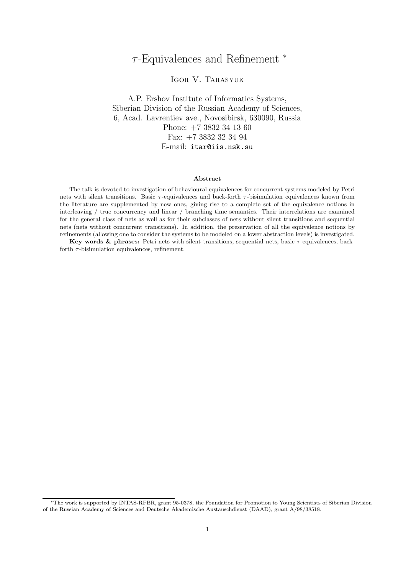# $\tau\text{-}\mathrm{Equivalences}$  and Refinement  $^*$

#### Igor V. Tarasyuk

A.P. Ershov Institute of Informatics Systems, Siberian Division of the Russian Academy of Sciences, 6, Acad. Lavrentiev ave., Novosibirsk, 630090, Russia Phone: +7 3832 34 13 60 Fax: +7 3832 32 34 94 E-mail: itar@iis.nsk.su

#### Abstract

The talk is devoted to investigation of behavioural equivalences for concurrent systems modeled by Petri nets with silent transitions. Basic  $\tau$ -equivalences and back-forth  $\tau$ -bisimulation equivalences known from the literature are supplemented by new ones, giving rise to a complete set of the equivalence notions in interleaving / true concurrency and linear / branching time semantics. Their interrelations are examined for the general class of nets as well as for their subclasses of nets without silent transitions and sequential nets (nets without concurrent transitions). In addition, the preservation of all the equivalence notions by refinements (allowing one to consider the systems to be modeled on a lower abstraction levels) is investigated.

Key words & phrases: Petri nets with silent transitions, sequential nets, basic τ-equivalences, backforth  $\tau$ -bisimulation equivalences, refinement.

<sup>∗</sup>The work is supported by INTAS-RFBR, grant 95-0378, the Foundation for Promotion to Young Scientists of Siberian Division of the Russian Academy of Sciences and Deutsche Akademische Austauschdienst (DAAD), grant A/98/38518.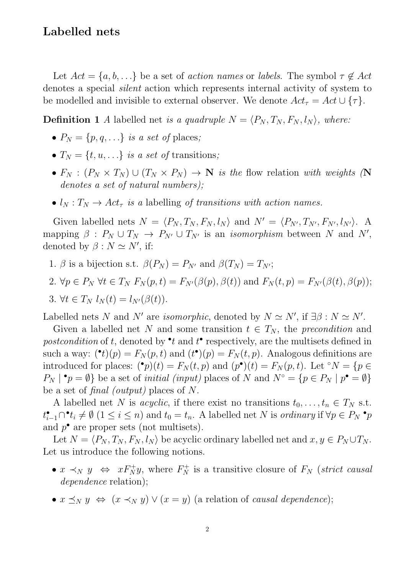#### Labelled nets

Let  $Act = \{a, b, \ldots\}$  be a set of action names or labels. The symbol  $\tau \notin Act$ denotes a special silent action which represents internal activity of system to be modelled and invisible to external observer. We denote  $Act_{\tau} = Act \cup {\tau}.$ 

**Definition 1** A labelled net is a quadruple  $N = \langle P_N, T_N, F_N, l_N \rangle$ , where:

- $P_N = \{p, q, \ldots\}$  is a set of places;
- $T_N = \{t, u, \ldots\}$  is a set of transitions;
- $F_N$ :  $(P_N \times T_N) \cup (T_N \times P_N) \rightarrow \mathbb{N}$  is the flow relation with weights (N denotes a set of natural numbers);
- $l_N: T_N \to Act_\tau$  is a labelling of transitions with action names.

Given labelled nets  $N = \langle P_N, T_N, F_N, l_N \rangle$  and  $N' = \langle P_{N'}, T_{N'}, F_{N'}, l_{N'} \rangle$ . A mapping  $\beta$ :  $P_N \cup T_N \rightarrow P_{N'} \cup T_{N'}$  is an *isomorphism* between N and N', denoted by  $\beta : N \simeq N'$ , if:

1. β is a bijection s.t.  $\beta(P_N) = P_{N'}$  and  $\beta(T_N) = T_{N'}$ ;

2. 
$$
\forall p \in P_N \ \forall t \in T_N \ F_N(p, t) = F_{N'}(\beta(p), \beta(t))
$$
 and  $F_N(t, p) = F_{N'}(\beta(t), \beta(p));$ 

3. 
$$
\forall t \in T_N \; l_N(t) = l_{N'}(\beta(t)).
$$

Labelled nets N and N' are isomorphic, denoted by  $N \simeq N'$ , if  $\exists \beta : N \simeq N'$ .

Given a labelled net N and some transition  $t \in T_N$ , the precondition and postcondition of t, denoted by  $\bullet t$  and  $t^{\bullet}$  respectively, are the multisets defined in such a way:  $(\bullet t)(p) = F_N(p, t)$  and  $(t^{\bullet})(p) = F_N(t, p)$ . Analogous definitions are introduced for places:  $(\bullet p)(t) = F_N(t, p)$  and  $(p^{\bullet})(t) = F_N(p, t)$ . Let °N = { $p \in$  $P_N \mid \bullet_p = \emptyset$  be a set of *initial (input)* places of N and  $N^{\circ} = \{p \in P_N \mid p^{\bullet} = \emptyset\}$ be a set of final (output) places of N.

A labelled net N is *acyclic*, if there exist no transitions  $t_0, \ldots, t_n \in T_N$  s.t.  $t_{i-1}^{\bullet} \cap \bullet t_i \neq \emptyset$   $(1 \leq i \leq n)$  and  $t_0 = t_n$ . A labelled net N is *ordinary* if  $\forall p \in P_N \bullet p$ and  $p^{\bullet}$  are proper sets (not multisets).

Let  $N = \langle P_N, T_N, F_N, l_N \rangle$  be acyclic ordinary labelled net and  $x, y \in P_N \cup T_N$ . Let us introduce the following notions.

- $x \prec_N y \Leftrightarrow xF_N^+y$ , where  $F_N^+$  is a transitive closure of  $F_N$  (*strict causal* dependence relation);
- $x \preceq_N y \Leftrightarrow (x \prec_N y) \vee (x = y)$  (a relation of causal dependence);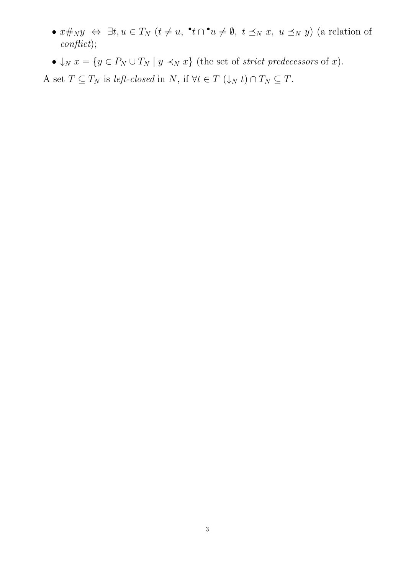- $x \#_N y \Leftrightarrow \exists t, u \in T_N \ (t \neq u, \; \mathbf{t} \cap \mathbf{t} \neq \emptyset, t \preceq_N x, u \preceq_N y)$  (a relation of conflict);
- $\downarrow_N x = \{y \in P_N \cup T_N \mid y \prec_N x\}$  (the set of *strict predecessors* of x).

A set  $T \subseteq T_N$  is left-closed in N, if  $\forall t \in T$   $(\downarrow_N t) \cap T_N \subseteq T$ .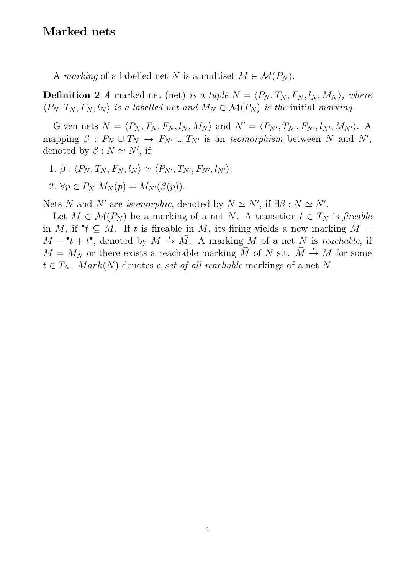#### Marked nets

A marking of a labelled net N is a multiset  $M \in \mathcal{M}(P_N)$ .

**Definition 2** A marked net (net) is a tuple  $N = \langle P_N, T_N, F_N, l_N, M_N \rangle$ , where  $\langle P_N, T_N, F_N, l_N \rangle$  is a labelled net and  $M_N \in \mathcal{M}(P_N)$  is the initial marking.

Given nets  $N = \langle P_N, T_N, F_N, l_N, M_N \rangle$  and  $N' = \langle P_{N'}, T_{N'}, F_{N'}, l_{N'}, M_{N'} \rangle$ . A mapping  $\beta$ :  $P_N \cup T_N \rightarrow P_{N'} \cup T_{N'}$  is an *isomorphism* between N and N', denoted by  $\beta : N \simeq N'$ , if:

1.  $\beta$  :  $\langle P_N, T_N, F_N, l_N \rangle \simeq \langle P_{N'}, T_{N'}, F_{N'}, l_{N'} \rangle;$ 

$$
2. \ \forall p \in P_N \ M_N(p) = M_{N'}(\beta(p)).
$$

Nets N and N' are isomorphic, denoted by  $N \simeq N'$ , if  $\exists \beta : N \simeq N'$ .

Let  $M \in \mathcal{M}(P_N)$  be a marking of a net N. A transition  $t \in T_N$  is fireable in M, if  $\bullet t \subseteq M$ . If t is fireable in M, its firing yields a new marking  $\widetilde{M} =$  $M - t + t^{\bullet}$ , denoted by  $M \stackrel{t}{\rightarrow} \widetilde{M}$ . A marking M of a net N is reachable, if  $M = M_N$  or there exists a reachable marking  $\widehat{M}$  of N s.t.  $\widehat{M} \stackrel{t}{\rightarrow} M$  for some  $t \in T_N$ . Mark(N) denotes a set of all reachable markings of a net N.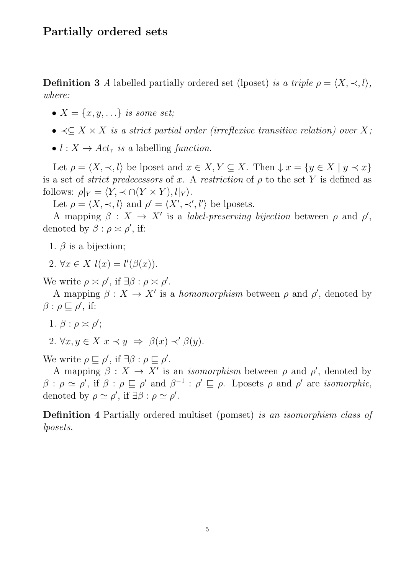**Definition 3** A labelled partially ordered set (lposet) is a triple  $\rho = \langle X, \prec, l \rangle$ , where:

- $X = \{x, y, \ldots\}$  is some set;
- $\prec \subseteq X \times X$  is a strict partial order (irreflexive transitive relation) over X;
- $l: X \rightarrow Act_{\tau}$  is a labelling function.

Let  $\rho = \langle X, \prec, l \rangle$  be lposet and  $x \in X, Y \subseteq X$ . Then  $\downarrow x = \{y \in X \mid y \prec x\}$ is a set of *strict predecessors* of x. A restriction of  $\rho$  to the set Y is defined as follows:  $\rho|_Y = \langle Y, \prec \cap (Y \times Y), l|_Y \rangle.$ 

Let  $\rho = \langle X, \prec, l \rangle$  and  $\rho' = \langle X', \prec', l' \rangle$  be lposets.

A mapping  $\beta : X \to X'$  is a *label-preserving bijection* between  $\rho$  and  $\rho'$ , denoted by  $\beta : \rho \asymp \rho'$ , if:

1.  $\beta$  is a bijection;

2.  $\forall x \in X \; l(x) = l'(\beta(x)).$ 

We write  $\rho \asymp \rho'$ , if  $\exists \beta : \rho \asymp \rho'$ .

A mapping  $\beta: X \to X'$  is a *homomorphism* between  $\rho$  and  $\rho'$ , denoted by  $\beta$  :  $\rho \sqsubseteq \rho'$ , if:

- 1.  $\beta$  :  $\rho \asymp \rho'$ ;
- 2.  $\forall x, y \in X \ x \prec y \Rightarrow \beta(x) \prec' \beta(y)$ .

We write  $\rho \sqsubseteq \rho'$ , if  $\exists \beta : \rho \sqsubseteq \rho'$ .

A mapping  $\beta: X \to X'$  is an *isomorphism* between  $\rho$  and  $\rho'$ , denoted by  $\beta$ :  $\rho \simeq \rho'$ , if  $\beta$ :  $\rho \sqsubseteq \rho'$  and  $\beta^{-1}$ :  $\rho' \sqsubseteq \rho$ . Lposets  $\rho$  and  $\rho'$  are *isomorphic*, denoted by  $\rho \simeq \rho'$ , if  $\exists \beta : \rho \simeq \rho'$ .

Definition 4 Partially ordered multiset (pomset) is an isomorphism class of lposets.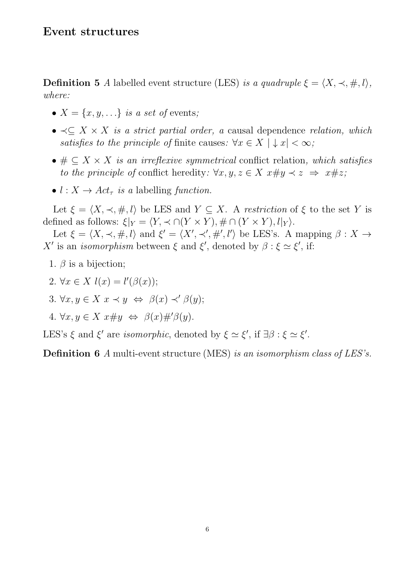**Definition 5** A labelled event structure (LES) is a quadruple  $\xi = \langle X, \prec, \#, l \rangle$ , where:

- $X = \{x, y, \ldots\}$  is a set of events;
- $\prec \subseteq X \times X$  is a strict partial order, a causal dependence relation, which satisfies to the principle of finite causes:  $\forall x \in X \mid x < \infty;$
- $\# \subseteq X \times X$  is an irreflexive symmetrical conflict relation, which satisfies to the principle of conflict heredity:  $\forall x, y, z \in X \; x \# y \prec z \Rightarrow x \# z;$
- $l: X \rightarrow Act_{\tau}$  is a labelling function.

Let  $\xi = \langle X, \prec, \#, l \rangle$  be LES and  $Y \subseteq X$ . A restriction of  $\xi$  to the set Y is defined as follows:  $\xi|_Y = \langle Y, \prec \cap (Y \times Y), \# \cap (Y \times Y), l|_Y \rangle.$ 

Let  $\xi = \langle X, \prec, \#, l \rangle$  and  $\xi' = \langle X', \prec', \#', l' \rangle$  be LES's. A mapping  $\beta : X \to$ X' is an *isomorphism* between  $\xi$  and  $\xi'$ , denoted by  $\beta : \xi \simeq \xi'$ , if:

- 1.  $\beta$  is a bijection;
- 2.  $\forall x \in X \; l(x) = l'(\beta(x));$
- 3.  $\forall x, y \in X \ x \prec y \Leftrightarrow \ \beta(x) \prec' \beta(y);$
- 4.  $\forall x, y \in X \ x \# y \Leftrightarrow \beta(x) \#' \beta(y)$ .

LES's  $\xi$  and  $\xi'$  are *isomorphic*, denoted by  $\xi \simeq \xi'$ , if  $\exists \beta : \xi \simeq \xi'$ .

Definition 6 A multi-event structure (MES) is an isomorphism class of LES's.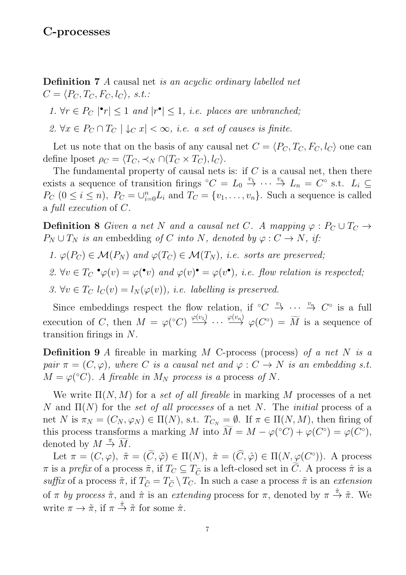Definition 7 A causal net is an acyclic ordinary labelled net  $C = \langle P_C, T_C, F_C, l_C \rangle, s.t.$ 

1.  $\forall r \in P_C \mid \mathbf{r} \leq 1$  and  $|r^{\bullet}| \leq 1$ , i.e. places are unbranched;

2.  $\forall x \in P_C \cap T_C \mid \downarrow_C x \mid \infty$ , *i.e.* a set of causes is finite.

Let us note that on the basis of any causal net  $C = \langle P_C, T_C, F_C, l_C \rangle$  one can define lposet  $\rho_C = \langle T_C, \prec_N \bigcap (T_C \times T_C), l_C \rangle$ .

The fundamental property of causal nets is: if  $C$  is a causal net, then there exists a sequence of transition firings  ${}^{\circ}C = L_0 \stackrel{v_1}{\rightarrow} \cdots \stackrel{v_n}{\rightarrow} L_n = C^{\circ}$  s.t.  $L_i \subseteq$  $P_C$   $(0 \le i \le n)$ ,  $P_C = \bigcup_{i=0}^n L_i$  and  $T_C = \{v_1, \ldots, v_n\}$ . Such a sequence is called a full execution of C.

**Definition 8** Given a net N and a causal net C. A mapping  $\varphi : P_C \cup T_C \rightarrow$  $P_N \cup T_N$  is an embedding of C into N, denoted by  $\varphi : C \to N$ , if:

- 1.  $\varphi(P_C) \in \mathcal{M}(P_N)$  and  $\varphi(T_C) \in \mathcal{M}(T_N)$ , i.e. sorts are preserved;
- 2.  $\forall v \in T_C \cdot \varphi(v) = \varphi(v)$  and  $\varphi(v) = \varphi(v^*)$ , i.e. flow relation is respected;
- 3.  $\forall v \in T_C$   $l_C(v) = l_N(\varphi(v))$ , *i.e.* labelling is preserved.

Since embeddings respect the flow relation, if  $\overline{C} \stackrel{v_1}{\rightarrow} \cdots \stackrel{v_n}{\rightarrow} C^{\circ}$  is a full execution of C, then  $M = \varphi({}^{\circ}C) \stackrel{\varphi(v_1)}{\longrightarrow} \cdots \stackrel{\varphi(v_n)}{\longrightarrow} \varphi(C^{\circ}) = \widetilde{M}$  is a sequence of transition firings in N.

**Definition 9** A fireable in marking M C-process (process) of a net N is a pair  $\pi = (C, \varphi)$ , where C is a causal net and  $\varphi : C \to N$  is an embedding s.t.  $M = \varphi({}^{\circ}C)$ . A fireable in  $M_N$  process is a process of N.

We write  $\Pi(N, M)$  for a set of all fireable in marking M processes of a net N and  $\Pi(N)$  for the set of all processes of a net N. The *initial* process of a net N is  $\pi_N = (C_N, \varphi_N) \in \Pi(N)$ , s.t.  $T_{C_N} = \emptyset$ . If  $\pi \in \Pi(N, M)$ , then firing of this process transforms a marking M into  $\widetilde{M} = M - \varphi({}^{\circ}C) + \varphi(C^{\circ}) = \varphi(C^{\circ}),$ denoted by  $M \stackrel{\pi}{\rightarrow} \widetilde{M}$ .

Let  $\pi = (C, \varphi), \tilde{\pi} = (\tilde{C}, \tilde{\varphi}) \in \Pi(N), \tilde{\pi} = (\tilde{C}, \hat{\varphi}) \in \Pi(N, \varphi(C^{\circ})).$  A process  $\pi$  is a prefix of a process  $\tilde{\pi}$ , if  $T_C \subseteq T_{\tilde{C}}$  is a left-closed set in  $\tilde{C}$ . A process  $\hat{\pi}$  is a suffix of a process  $\tilde{\pi}$ , if  $T_{\hat{C}} = T_{\tilde{C}} \setminus T_C$ . In such a case a process  $\tilde{\pi}$  is an extension of  $\pi$  by process  $\hat{\pi}$ , and  $\hat{\pi}$  is an extending process for  $\pi$ , denoted by  $\pi \stackrel{\hat{\pi}}{\rightarrow} \tilde{\pi}$ . We write  $\pi \to \tilde{\pi}$ , if  $\pi \stackrel{\hat{\pi}}{\to} \tilde{\pi}$  for some  $\hat{\pi}$ .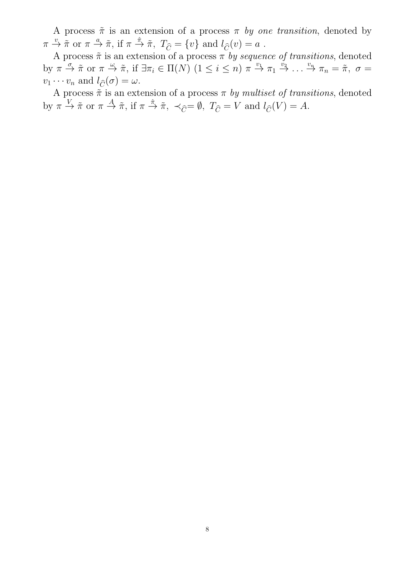A process  $\tilde{\pi}$  is an extension of a process  $\pi$  by one transition, denoted by  $\pi \stackrel{v}{\rightarrow} \tilde{\pi}$  or  $\pi \stackrel{a}{\rightarrow} \tilde{\pi}$ , if  $\pi \stackrel{\hat{\pi}}{\rightarrow} \tilde{\pi}$ ,  $T_{\widehat{C}} = \{v\}$  and  $l_{\widehat{C}}(v) = a$ .

A process  $\tilde{\pi}$  is an extension of a process  $\pi$   $by$   $sequence$   $of$   $transitions,$  denoted by  $\pi \stackrel{\sigma}{\to} \tilde{\pi}$  or  $\pi \stackrel{\omega}{\to} \tilde{\pi}$ , if  $\exists \pi_i \in \Pi(N)$   $(1 \leq i \leq n)$   $\pi \stackrel{v_1}{\to} \pi_1 \stackrel{v_2}{\to} \ldots \stackrel{v_n}{\to} \pi_n = \tilde{\pi}$ ,  $\sigma =$  $v_1 \cdots v_n$  and  $l_{\widehat{C}}(\sigma) = \omega$ .

A process  $\tilde{\pi}$  is an extension of a process  $\pi$  by multiset of transitions, denoted by  $\pi \stackrel{V}{\to} \tilde{\pi}$  or  $\pi \stackrel{A}{\to} \tilde{\pi}$ , if  $\pi \stackrel{\hat{\pi}}{\to} \tilde{\pi}$ ,  $\prec_{\widehat{C}} = \emptyset$ ,  $T_{\widehat{C}} = V$  and  $l_{\widehat{C}}(V) = A$ .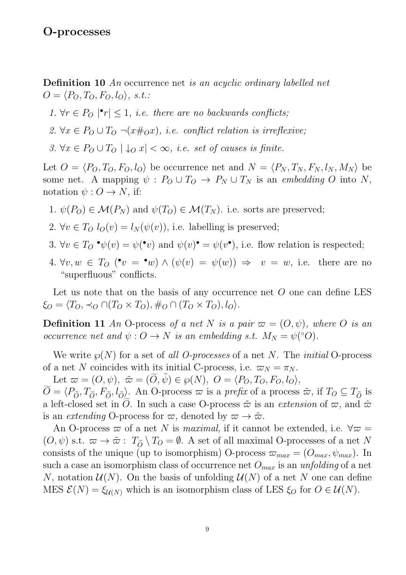Definition 10 An occurrence net is an acyclic ordinary labelled net  $O = \langle P_O, T_O, F_O, l_O \rangle, s.t.$ 

- 1.  $\forall r \in P_0 \mid \mathbf{r} \leq 1$ , i.e. there are no backwards conflicts;
- 2.  $\forall x \in P_0 \cup T_0 \neg (x \#_0 x)$ , *i.e.* conflict relation is irreflexive;
- 3.  $\forall x \in P_0 \cup T_0 \mid \downarrow_o x \mid \infty$ , i.e. set of causes is finite.

Let  $O = \langle P_O, T_O, F_O, l_O \rangle$  be occurrence net and  $N = \langle P_N, T_N, F_N, l_N, M_N \rangle$  be some net. A mapping  $\psi : P_O \cup T_O \rightarrow P_N \cup T_N$  is an embedding O into N, notation  $\psi: O \to N$ , if:

- 1.  $\psi(P_O) \in \mathcal{M}(P_N)$  and  $\psi(T_O) \in \mathcal{M}(T_N)$ . i.e. sorts are preserved;
- 2.  $\forall v \in T_O$   $l_O(v) = l_N(\psi(v))$ , i.e. labelling is preserved;
- 3.  $\forall v \in T_O \bullet \psi(v) = \psi(\bullet v)$  and  $\psi(v) \bullet \psi(v) = \psi(v \bullet)$ , i.e. flow relation is respected;
- 4.  $\forall v, w \in T_0$  ( $v = \cdot w$ )  $\wedge (\psi(v) = \psi(w)) \Rightarrow v = w$ , i.e. there are no "superfluous" conflicts.

Let us note that on the basis of any occurrence net  $O$  one can define LES  $\xi_O = \langle T_O, \prec_O \bigcap (T_O \times T_O), \#_O \bigcap (T_O \times T_O), l_O \rangle.$ 

**Definition 11** An O-process of a net N is a pair  $\varpi = (O, \psi)$ , where O is an occurrence net and  $\psi: O \to N$  is an embedding s.t.  $M_N = \psi({}^{\circ}O)$ .

We write  $\wp(N)$  for a set of all *O-processes* of a net N. The *initial* O-process of a net N coincides with its initial C-process, i.e.  $\varpi_N = \pi_N$ .

Let  $\varpi = (O, \psi), \; \tilde{\varpi} = (\tilde{O}, \tilde{\psi}) \in \wp(N), \; O = \langle P_O, T_O, F_O, l_O \rangle,$ 

 $\overline{O} = \langle P_{\tilde{O}}, T_{\tilde{O}}, F_{\tilde{O}}, l_{\tilde{O}} \rangle$ . An O-process  $\overline{\omega}$  is a prefix of a process  $\tilde{\omega}$ , if  $T_O \subseteq T_{\tilde{O}}$  is a left-closed set in O. In such a case O-process  $\tilde{\varpi}$  is an extension of  $\varpi$ , and  $\hat{\varpi}$ is an extending O-process for  $\varpi$ , denoted by  $\varpi \to \tilde{\varpi}$ .

An O-process  $\varpi$  of a net N is maximal, if it cannot be extended, i.e.  $\forall \varpi =$  $(O, \psi)$  s.t.  $\varpi \to \tilde{\varpi}$ :  $T_{\tilde{O}} \setminus T_O = \emptyset$ . A set of all maximal O-processes of a net N consists of the unique (up to isomorphism) O-process  $\varpi_{max} = (O_{max}, \psi_{max})$ . In such a case an isomorphism class of occurrence net  $O_{max}$  is an unfolding of a net N, notation  $\mathcal{U}(N)$ . On the basis of unfolding  $\mathcal{U}(N)$  of a net N one can define MES  $\mathcal{E}(N) = \xi_{\mathcal{U}(N)}$  which is an isomorphism class of LES  $\xi_O$  for  $O \in \mathcal{U}(N)$ .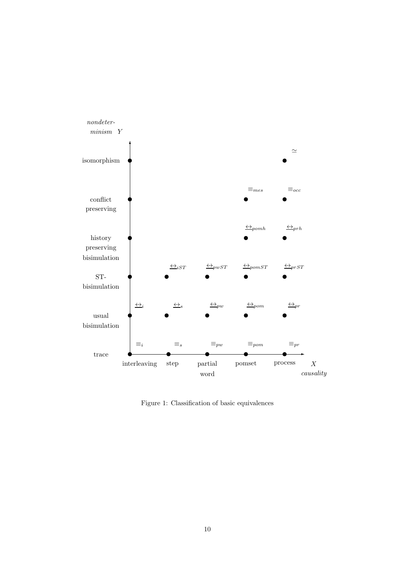

Figure 1: Classification of basic equivalences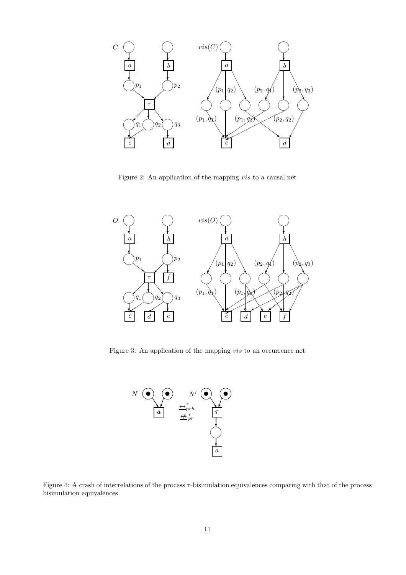

Figure 2: An application of the mapping vis to a causal net



Figure 3: An application of the mapping vis to an occurrence net



Figure 4: A crash of interrelations of the process  $\tau$ -bisimulation equivalences comparing with that of the process bisimulation equivalences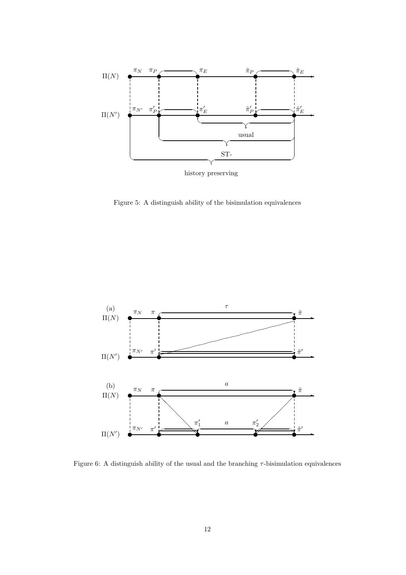

Figure 5: A distinguish ability of the bisimulation equivalences



Figure 6: A distinguish ability of the usual and the branching  $\tau$ -bisimulation equivalences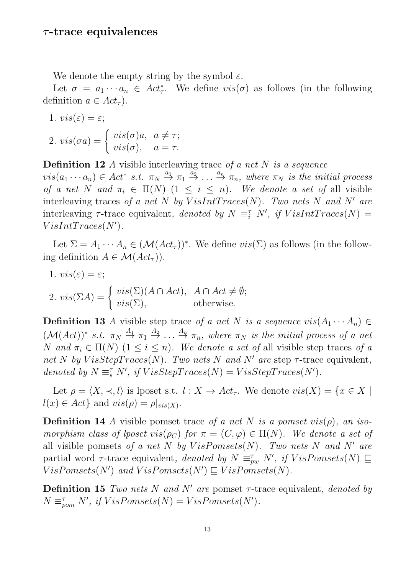We denote the empty string by the symbol  $\varepsilon$ .

Let  $\sigma = a_1 \cdots a_n \in Act^*_\tau$ . We define  $vis(\sigma)$  as follows (in the following definition  $a \in Act_\tau$ ).

1.  $vis(\varepsilon) = \varepsilon$ ;

2. 
$$
vis(\sigma a) = \begin{cases} vis(\sigma)a, & a \neq \tau; \\ vis(\sigma), & a = \tau. \end{cases}
$$

**Definition 12** A visible interleaving trace of a net  $N$  is a sequence

 $vis(a_1 \cdots a_n) \in Act^* \; s.t. \; \pi_N \stackrel{a_1}{\rightarrow} \pi_1 \stackrel{a_2}{\rightarrow} \ldots \stackrel{a_n}{\rightarrow} \pi_n$ , where  $\pi_N$  is the initial process of a net N and  $\pi_i \in \Pi(N)$   $(1 \leq i \leq n)$ . We denote a set of all visible interleaving traces of a net N by  $VisIntTraces(N)$ . Two nets N and N' are interleaving  $\tau$ -trace equivalent, denoted by  $N \equiv_i^{\tau} N'$ , if  $VisIntTraces(N) =$  $VisIntTraces(N').$ 

Let  $\Sigma = A_1 \cdots A_n \in (\mathcal{M}(Act_{\tau}))^*$ . We define  $vis(\Sigma)$  as follows (in the following definition  $A \in \mathcal{M}(Act_{\tau})$ .

1.  $vis(\varepsilon) = \varepsilon$ ; 2.  $vis(\Sigma A) =$  $\sqrt{ }$  $\mathbf{I}$  $\mathbf{t}$  $vis(\Sigma)(A \cap Act), \ \ A \cap Act \neq \emptyset;$  $vis(\Sigma)$ , otherwise.

**Definition 13** A visible step trace of a net N is a sequence  $vis(A_1 \cdots A_n) \in$  $(\mathcal{M}(Act))^*$  s.t.  $\pi_N \stackrel{A_1}{\rightarrow} \pi_1 \stackrel{A_2}{\rightarrow} \ldots \stackrel{A_n}{\rightarrow} \pi_n$ , where  $\pi_N$  is the initial process of a net N and  $\pi_i \in \Pi(N)$   $(1 \leq i \leq n)$ . We denote a set of all visible step traces of a net N by VisStepTraces(N). Two nets N and N' are step  $\tau$ -trace equivalent, denoted by  $N \equiv_s^{\tau} N'$ , if  $VisStepTrace(N) = VisStepTrace(N')$ .

Let  $\rho = \langle X, \prec, l \rangle$  is lposet s.t.  $l : X \to Act_\tau$ . We denote  $vis(X) = \{x \in X \mid$  $l(x) \in Act$  and  $vis(\rho) = \rho|_{vis(X)}$ .

**Definition 14** A visible pomset trace of a net N is a pomset vis( $\rho$ ), an isomorphism class of lposet  $vis(\rho_C)$  for  $\pi = (C, \varphi) \in \Pi(N)$ . We denote a set of all visible pomsets of a net N by  $VisPomsets(N)$ . Two nets N and N' are partial word  $\tau$ -trace equivalent, *denoted by*  $N \equiv_{pw}^{\tau} N'$ , *if*  $VisPomsets(N) \sqsubseteq$  $VisPomsets(N')$  and  $VisPomsets(N') \sqsubseteq VisPomsets(N)$ .

**Definition 15** Two nets N and N' are pomset  $\tau$ -trace equivalent, denoted by  $N \equiv_{\text{pom}}^{\tau} N'$ , if  $VisPomsets(N) = VisPomsets(N')$ .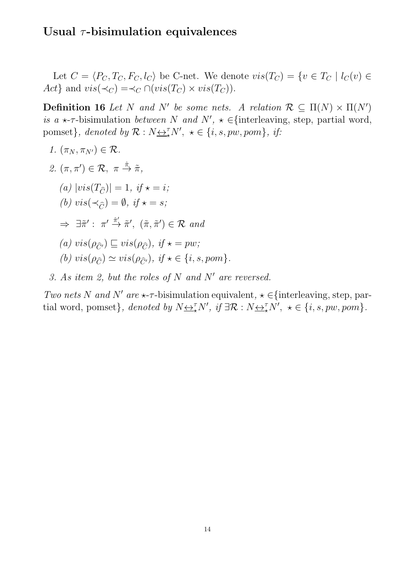### Usual  $\tau$ -bisimulation equivalences

Let  $C = \langle P_C, T_C, F_C, l_C \rangle$  be C-net. We denote  $vis(T_C) = \{v \in T_C \mid l_C(v) \in$ Act} and  $vis(\prec_C) = \prec_C \cap (vis(T_C) \times vis(T_C)).$ 

**Definition 16** Let N and N' be some nets. A relation  $\mathcal{R} \subseteq \Pi(N) \times \Pi(N')$ is a  $\star$ - $\tau$ -bisimulation between N and N',  $\star \in$ {interleaving, step, partial word, pomset}, denoted by  $\mathcal{R}: N \rightarrow N'$ ,  $\star \in \{i, s, pw, pom\}$ , if:

1. 
$$
(\pi_N, \pi_{N'}) \in \mathcal{R}
$$
.  
\n2.  $(\pi, \pi') \in \mathcal{R}, \ \pi \stackrel{\hat{\pi}}{\rightarrow} \tilde{\pi},$   
\n(a)  $|vis(T_{\hat{C}})| = 1, \ if \ \star = i;$   
\n(b)  $vis(\prec_{\hat{C}}) = \emptyset, \ if \ \star = s;$   
\n $\Rightarrow \exists \tilde{\pi}' : \ \pi' \stackrel{\hat{\pi}'}{\rightarrow} \tilde{\pi}', \ (\tilde{\pi}, \tilde{\pi}') \in \mathcal{R} \ and$   
\n(a)  $vis(\rho_{\hat{C}'}) \sqsubseteq vis(\rho_{\hat{C}}), \ if \ \star = pw;$   
\n(b)  $vis(\rho_{\hat{C}}) \simeq vis(\rho_{\hat{C}'}), \ if \ \star \in \{i, s, pom\}.$ 

3. As item 2, but the roles of  $N$  and  $N'$  are reversed.

Two nets N and N' are  $\star$ - $\tau$ -bisimulation equivalent,  $\star \in$ {interleaving, step, partial word, pomset}, denoted by  $N \Leftrightarrow_N^T N'$ , if  $\exists \mathcal{R} : N \Leftrightarrow_N^T N'$ ,  $\star \in \{i, s, pw, pom\}$ .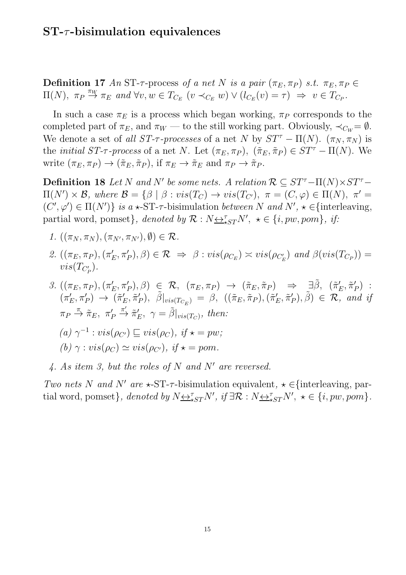#### $ST$ - $\tau$ -bisimulation equivalences

Definition 17 An ST- $\tau$ -process of a net N is a pair  $(\pi_E, \pi_P)$  s.t.  $\pi_E, \pi_P \in$  $\Pi(N)$ ,  $\pi_P \stackrel{\pi_W}{\to} \pi_E$  and  $\forall v, w \in T_{C_E}$   $(v \prec_{C_E} w) \vee (l_{C_E}(v) = \tau) \Rightarrow v \in T_{C_P}$ .

In such a case  $\pi_E$  is a process which began working,  $\pi_P$  corresponds to the completed part of  $\pi_E$ , and  $\pi_W$  — to the still working part. Obviously,  $\prec_{C_W} = \emptyset$ . We denote a set of all ST- $\tau$ -processes of a net N by  $ST^{\tau} - \Pi(N)$ .  $(\pi_N, \pi_N)$  is the *initial ST-* $\tau$ -process of a net N. Let  $(\pi_E, \pi_P)$ ,  $(\tilde{\pi}_E, \tilde{\pi}_P) \in ST^{\tau} - \Pi(N)$ . We write  $(\pi_E, \pi_P) \to (\tilde{\pi}_E, \tilde{\pi}_P)$ , if  $\pi_E \to \tilde{\pi}_E$  and  $\pi_P \to \tilde{\pi}_P$ .

**Definition 18** Let N and N' be some nets. A relation  $\mathcal{R} \subseteq ST^{\tau} - \Pi(N) \times ST^{\tau} \Pi(N') \times \mathcal{B}$ , where  $\mathcal{B} = {\beta \mid \beta : vis(T_C) \rightarrow vis(T_{C'})}$ ,  $\pi = (C, \varphi) \in \Pi(N)$ ,  $\pi' =$  $(C', \varphi') \in \Pi(N')\}$  is a  $\star$ -ST- $\tau$ -bisimulation between N and N',  $\star \in$  {interleaving, partial word, pomset}, denoted by  $\mathcal{R}: N \leq \mathcal{F}_{\star ST} N'$ ,  $\star \in \{i, pw, pom\}$ , if:

- 1.  $((\pi_N, \pi_N), (\pi_{N'}, \pi_{N'}), \emptyset) \in \mathcal{R}$ .
- 2.  $((\pi_E, \pi_P), (\pi'_E, \pi'_P), \beta) \in \mathcal{R} \implies \beta : vis(\rho_{C_E}) \approx vis(\rho_{C'_E})$  and  $\beta(vis(T_{C_P})) =$  $vis(T_{C_P^{\prime}}).$
- $\beta.$   $((\pi_E, \pi_P), (\pi'_E, \pi'_P), \beta) \in \mathcal{R},$   $(\pi_E, \pi_P) \rightarrow (\tilde{\pi}_E, \tilde{\pi}_P) \Rightarrow \exists \tilde{\beta},$   $(\tilde{\pi}'_E, \tilde{\pi}'_P)$  $'_{P})$  :  $(\pi'_E, \pi'_P) \rightarrow (\tilde{\pi}'_E, \tilde{\pi}'_P)$  $\tilde{P}(\rho),\ \ \tilde{\beta}|_{vis(T_{C_E})}\ =\ \beta,\ \ ((\tilde{\pi}_E,\tilde{\pi}_P),(\tilde{\pi}'_E,\tilde{\pi}')$  $(P_p), \tilde{\beta}) \in \mathcal{R}$ , and if  $\pi_P \stackrel{\pi}{\rightarrow} \tilde{\pi}_E, \pi'_P$  $\stackrel{\pi'}{\rightarrow} \tilde{\pi}'_E$ ,  $\gamma = \tilde{\beta}|_{vis(T_C)}$ , then:

$$
(a) \ \gamma^{-1} : vis(\rho_{C'}) \sqsubseteq vis(\rho_C), \ if \star = pw;
$$

(b) 
$$
\gamma : vis(\rho_C) \simeq vis(\rho_{C'}), \text{ if } \star = pom.
$$

4. As item 3, but the roles of N and N′ are reversed.

Two nets N and N' are  $\star$ -ST- $\tau$ -bisimulation equivalent,  $\star \in \{\text{interleaving, par-}$ tial word, pomset}, denoted by  $N \Leftrightarrow^{\tau}_{\star ST} N'$ , if  $\exists \mathcal{R} : N \Leftrightarrow^{\tau}_{\star ST} N'$ ,  $\star \in \{i, pw, pom\}$ .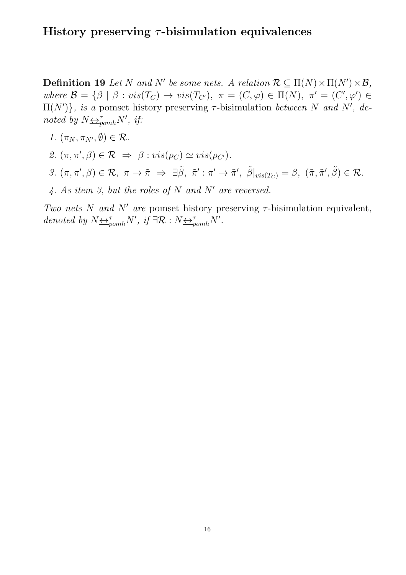### History preserving  $\tau$ -bisimulation equivalences

**Definition 19** Let N and N' be some nets. A relation  $\mathcal{R} \subseteq \Pi(N) \times \Pi(N') \times \mathcal{B}$ , where  $\mathcal{B} = \{\beta \mid \beta : vis(T_C) \rightarrow vis(T_{C}), \pi = (C, \varphi) \in \Pi(N), \pi' = (C', \varphi') \in \Pi(N) \}$  $\Pi(N')\}$ , is a pomset history preserving  $\tau$ -bisimulation between N and N', denoted by  $N \leftrightarrow_{\text{pom}h}^{\tau} N'$ , if:

1.  $(\pi_N, \pi_{N'}, \emptyset) \in \mathcal{R}$ .

2. 
$$
(\pi, \pi', \beta) \in \mathcal{R} \implies \beta : vis(\rho_C) \simeq vis(\rho_{C'}).
$$

- $\beta$ .  $(\pi, \pi', \beta) \in \mathcal{R}, \ \pi \to \tilde{\pi} \Rightarrow \exists \tilde{\beta}, \ \tilde{\pi}' : \pi' \to \tilde{\pi}', \ \tilde{\beta}|_{vis(T_C)} = \beta, \ (\tilde{\pi}, \tilde{\pi}', \tilde{\beta}) \in \mathcal{R}.$
- 4. As item 3, but the roles of N and N′ are reversed.

Two nets N and N' are pomset history preserving  $\tau$ -bisimulation equivalent, denoted by  $N \underline{\leftrightarrow}_{pomh}^{\tau} N'$ , if  $\exists \mathcal{R} : N \underline{\leftrightarrow}_{pomh}^{\tau} N'$ .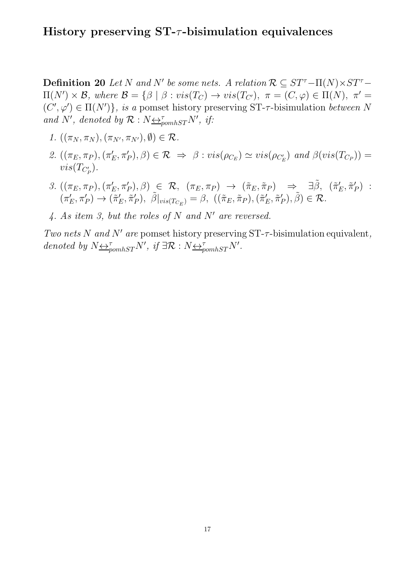## History preserving  $ST-\tau$ -bisimulation equivalences

**Definition 20** Let N and N' be some nets. A relation  $\mathcal{R} \subseteq ST^{\tau} - \Pi(N) \times ST^{\tau} \Pi(N') \times \mathcal{B}$ , where  $\mathcal{B} = {\beta \mid \beta : vis(T_C) \rightarrow vis(T_{C'})}$ ,  $\pi = (C, \varphi) \in \Pi(N)$ ,  $\pi' =$  $(C', \varphi') \in \Pi(N')\},\$ is a pomset history preserving ST- $\tau$ -bisimulation between N and N', denoted by  $\mathcal{R}: N \trianglelefteq^{\tau}_{pomhST} N'$ , if:

- 1.  $((\pi_N, \pi_N), (\pi_{N'}, \pi_{N'}), \emptyset) \in \mathcal{R}$ .
- 2.  $((\pi_E, \pi_P), (\pi'_E, \pi'_P), \beta) \in \mathcal{R} \implies \beta : vis(\rho_{C_E}) \simeq vis(\rho_{C'_E})$  and  $\beta(vis(T_{C_P})) =$  $vis(T_{C_P^{\prime}}).$
- $\beta.$   $((\pi_E, \pi_P), (\pi'_E, \pi'_P), \beta) \in \mathcal{R},$   $(\pi_E, \pi_P) \rightarrow (\tilde{\pi}_E, \tilde{\pi}_P) \Rightarrow \exists \tilde{\beta},$   $(\tilde{\pi}'_E, \tilde{\pi}'_P)$  $'_{P})$  :  $(\pi'_E, \pi'_P) \rightarrow (\tilde{\pi}'_E, \tilde{\pi}'_P)$  $\langle P \rangle, \,\,\tilde{\beta}|_{vis(T_{C_E})} = \beta, \,\, ((\tilde{\pi}_E, \tilde{\pi}_P), (\tilde{\pi}'_E, \tilde{\pi}'_P))$  $'_{P}), \tilde{\beta}) \in \mathcal{R}.$
- 4. As item 3, but the roles of  $N$  and  $N'$  are reversed.

Two nets N and N' are pomset history preserving  $ST$ - $\tau$ -bisimulation equivalent, denoted by  $N \Leftrightarrow_{pomhST}^{\tau} N'$ , if  $\exists \mathcal{R} : N \Leftrightarrow_{pomhST}^{\tau} N'$ .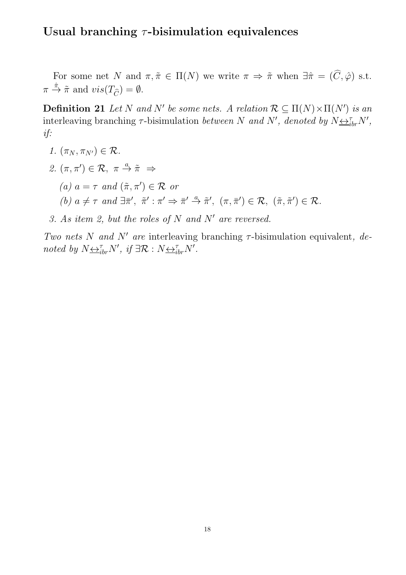### Usual branching  $\tau$ -bisimulation equivalences

For some net N and  $\pi, \tilde{\pi} \in \Pi(N)$  we write  $\pi \Rightarrow \tilde{\pi}$  when  $\exists \hat{\pi} = (\widehat{C}, \hat{\varphi})$  s.t.  $\pi \stackrel{\hat{\pi}}{\rightarrow} \tilde{\pi}$  and  $vis(T_{\widehat{C}}) = \emptyset$ .

**Definition 21** Let N and N' be some nets. A relation  $\mathcal{R} \subseteq \Pi(N) \times \Pi(N')$  is an interleaving branching  $\tau$ -bisimulation between N and N', denoted by  $N \leftrightarrow_{ir}^{\tau} N'$ , if:

- 1.  $(\pi_N, \pi_{N'}) \in \mathcal{R}$ .
- 2.  $(\pi, \pi') \in \mathcal{R}, \pi \stackrel{a}{\rightarrow} \tilde{\pi} \Rightarrow$ 
	- (a)  $a = \tau$  and  $(\tilde{\pi}, \pi') \in \mathcal{R}$  or (b)  $a \neq \tau$  and  $\exists \bar{\pi}', \tilde{\pi}' : \pi' \Rightarrow \bar{\pi}' \stackrel{a}{\rightarrow} \tilde{\pi}', (\pi, \bar{\pi}') \in \mathcal{R}, (\tilde{\pi}, \tilde{\pi}') \in \mathcal{R}.$
- 3. As item 2, but the roles of N and N′ are reversed.

Two nets N and N' are interleaving branching  $\tau$ -bisimulation equivalent, denoted by  $N \underline{\leftrightarrow}_{ibr}^{\tau} N'$ , if  $\exists \mathcal{R} : N \underline{\leftrightarrow}_{ibr}^{\tau} N'$ .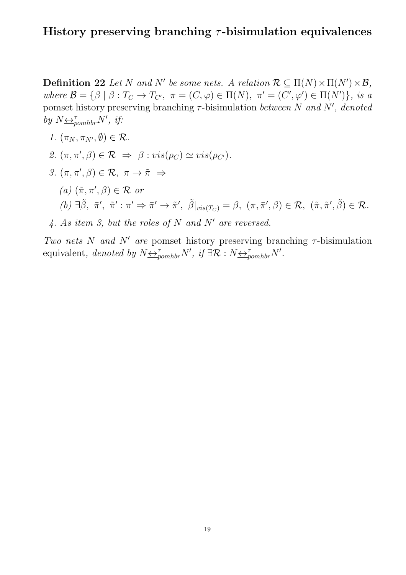## History preserving branching  $\tau$ -bisimulation equivalences

**Definition 22** Let N and N' be some nets. A relation  $\mathcal{R} \subseteq \Pi(N) \times \Pi(N') \times \mathcal{B}$ , where  $\mathcal{B} = \{\beta \mid \beta : T_C \to T_{C'} , \pi = (C, \varphi) \in \Pi(N) , \pi' = (C', \varphi') \in \Pi(N') \},$  is a pomset history preserving branching  $\tau$ -bisimulation between N and N', denoted by  $N \underbrace{\leftrightarrow}_{pomhbr}^{\tau} N'$ , if:

1.  $(\pi_N, \pi_{N'}, \emptyset) \in \mathcal{R}$ . 2.  $(\pi, \pi', \beta) \in \mathcal{R} \Rightarrow \beta : vis(\rho_C) \simeq vis(\rho_{C}).$ 3.  $(\pi, \pi', \beta) \in \mathcal{R}, \pi \to \tilde{\pi} \Rightarrow$ (a)  $(\tilde{\pi}, \pi', \beta) \in \mathcal{R}$  or  $(b) \ \exists \tilde{\beta}, \ \bar{\pi}', \ \tilde{\pi}' : \pi' \Rightarrow \bar{\pi}' \rightarrow \tilde{\pi}', \ \tilde{\beta}|_{vis(T_C)} = \beta, \ (\pi, \bar{\pi}', \beta) \in \mathcal{R}, \ (\tilde{\pi}, \tilde{\pi}', \tilde{\beta}) \in \mathcal{R}.$ 4. As item 3, but the roles of N and N′ are reversed.

Two nets N and N' are pomset history preserving branching  $\tau$ -bisimulation equivalent, denoted by  $N \trianglelefteq^{\tau}_{pomhbr} N'$ , if  $\exists \mathcal{R}: N \trianglelefteq^{\tau}_{pomhbr} N'$ .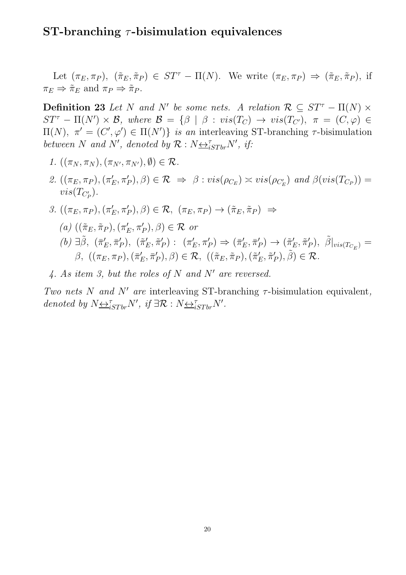#### ST-branching  $\tau$ -bisimulation equivalences

Let  $(\pi_E, \pi_P)$ ,  $(\tilde{\pi}_E, \tilde{\pi}_P) \in ST^{\tau} - \Pi(N)$ . We write  $(\pi_E, \pi_P) \Rightarrow (\tilde{\pi}_E, \tilde{\pi}_P)$ , if  $\pi_E \Rightarrow \tilde{\pi}_E$  and  $\pi_P \Rightarrow \tilde{\pi}_P$ .

**Definition 23** Let N and N' be some nets. A relation  $\mathcal{R} \subseteq ST^{\tau} - \Pi(N) \times$  $ST^{\tau} - \Pi(N') \times \mathcal{B}$ , where  $\mathcal{B} = {\beta \mid \beta : vis(T_C) \rightarrow vis(T_{C'})}$ ,  $\pi = (C, \varphi) \in$  $\Pi(N)$ ,  $\pi' = (C', φ') ∈ Π(N')$ *} is an* interleaving ST-branching  $τ$ -bisimulation between N and N', denoted by  $\mathcal{R}: N \rightarrow \mathcal{S}_{iSTbr} N'$ , if:

- 1.  $((\pi_N, \pi_N), (\pi_{N'}, \pi_{N'}), \emptyset) \in \mathcal{R}$ .
- 2.  $((\pi_E, \pi_P), (\pi'_E, \pi'_P), \beta) \in \mathcal{R} \implies \beta : vis(\rho_{C_E}) \approx vis(\rho_{C'_E})$  and  $\beta(vis(T_{C_P})) =$  $vis(T_{C_P^{\prime}}).$
- 3.  $((\pi_E, \pi_P), (\pi'_E, \pi'_P), \beta) \in \mathcal{R}, (\pi_E, \pi_P) \rightarrow (\tilde{\pi}_E, \tilde{\pi}_P) \Rightarrow$ 
	- $(a)$   $((\tilde{\pi}_E, \tilde{\pi}_P), (\pi'_E, \pi'_P), \beta) \in \mathcal{R}$  or  $(b) \exists \tilde{\beta}, \ (\bar{\pi}'_E, \bar{\pi}'_E)$  $'_{P}$ ),  $(\tilde{\pi}'_{E}, \tilde{\pi}'_{E})$  $\left(\pi_E', \pi_P' \right) \Rightarrow \left(\bar{\pi}_E', \bar{\pi}_1' \right)$  $\tilde{\pi}'_P$   $\rightarrow$   $(\tilde{\pi}'_E, \tilde{\pi}'_P)$  $\tilde{\beta}|_{vis(T_{C_E})} =$  $\beta,\ (\left(\pi_E,\pi_P\right),\left(\bar{\pi}'_E,\bar{\pi}'_E\right)$  $(P_p), \beta) \in \mathcal{R}, \ (\ (\tilde{\pi}_E, \tilde{\pi}_P), (\tilde{\pi}'_E, \tilde{\pi}'_P)$  $'_{P}), \tilde{\beta}) \in \mathcal{R}.$
- 4. As item 3, but the roles of N and N′ are reversed.

Two nets N and N' are interleaving ST-branching  $\tau$ -bisimulation equivalent, denoted by  $N \underbrace{\leftrightarrow}^{\tau}_{iSTbr} N'$ , if  $\exists \mathcal{R} : N \underbrace{\leftrightarrow}^{\tau}_{iSTbr} N'$ .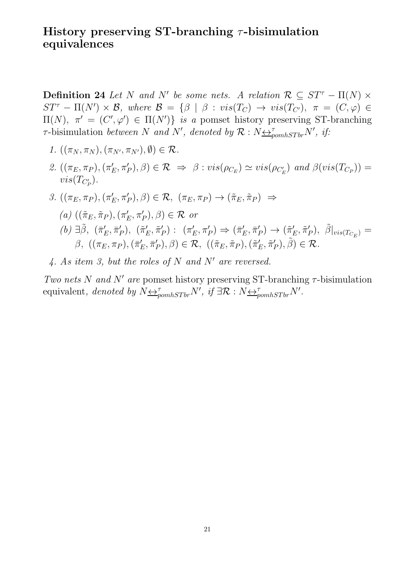### History preserving ST-branching  $\tau$ -bisimulation equivalences

**Definition 24** Let N and N' be some nets. A relation  $\mathcal{R} \subseteq ST^{\tau} - \Pi(N) \times$  $ST^{\tau} - \Pi(N') \times \mathcal{B}$ , where  $\mathcal{B} = {\beta \mid \beta : vis(T_C) \rightarrow vis(T_{C'})}$ ,  $\pi = (C, \varphi) \in$  $\Pi(N)$ ,  $\pi' = (C', \varphi') \in \Pi(N')$  is a pomset history preserving ST-branching  $\tau$ -bisimulation between N and N', denoted by  $\mathcal{R}: N \trianglelefteq_{pomhSTbr}^{\tau} N'$ , if:

- 1.  $((\pi_N, \pi_N), (\pi_{N'}, \pi_{N'}), \emptyset) \in \mathcal{R}$ .
- 2.  $((\pi_E, \pi_P), (\pi'_E, \pi'_P), \beta) \in \mathcal{R} \implies \beta : vis(\rho_{C_E}) \simeq vis(\rho_{C'_E})$  and  $\beta(vis(T_{C_P})) =$  $vis(T_{C_P^{\prime}}).$
- 3.  $((\pi_E, \pi_P), (\pi'_E, \pi'_P), \beta) \in \mathcal{R}, (\pi_E, \pi_P) \rightarrow (\tilde{\pi}_E, \tilde{\pi}_P) \Rightarrow$  $(a)$   $((\tilde{\pi}_E, \tilde{\pi}_P), (\pi'_E, \pi'_P), \beta) \in \mathcal{R}$  or  $(b) \exists \tilde{\beta}, \ (\bar{\pi}'_E, \bar{\pi}'_E)$  $'_{P}$ ),  $(\tilde{\pi}'_{E}, \tilde{\pi}'_{E})$  $\left(\pi_E', \pi_P' \right) \Rightarrow \left(\bar{\pi}_E', \bar{\pi}_1' \right)$  $\tilde{\pi}'_P$   $\rightarrow$   $(\tilde{\pi}'_E, \tilde{\pi}'_P)$  $\tilde{\beta}|_{vis(T_{C_E})} =$  $\beta,\ (\left(\pi_E,\pi_P\right),\left(\bar{\pi}'_E,\bar{\pi}'_E\right)$  $(P_p), \beta) \in \mathcal{R}, \ (\ (\tilde{\pi}_E, \tilde{\pi}_P), (\tilde{\pi}'_E, \tilde{\pi}'_P)$  $'_{P}), \tilde{\beta}) \in \mathcal{R}.$
- 4. As item 3, but the roles of N and N' are reversed.

Two nets N and N' are pomset history preserving ST-branching  $\tau$ -bisimulation equivalent, denoted by  $N \Leftrightarrow_{pomhSTbr}^{\tau} N'$ , if  $\exists \mathcal{R}: N \Leftrightarrow_{pomhSTbr}^{\tau} N'$ .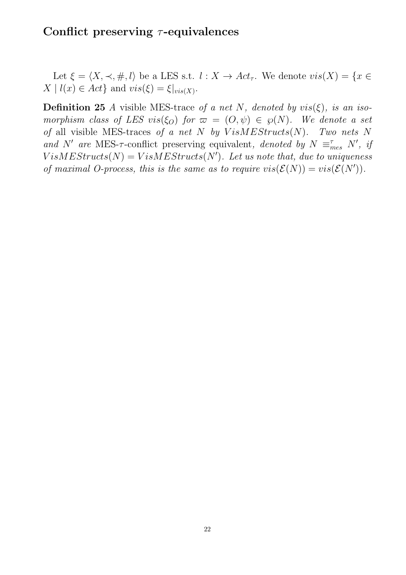### Conflict preserving  $\tau$ -equivalences

Let  $\xi = \langle X, \prec, \#, l \rangle$  be a LES s.t.  $l : X \to Act_{\tau}$ . We denote  $vis(X) = \{x \in$  $X \mid l(x) \in Act$  and  $vis(\xi) = \xi|_{vis(X)}$ .

**Definition 25** A visible MES-trace of a net N, denoted by  $vis(\xi)$ , is an isomorphism class of LES vis( $\xi_O$ ) for  $\varpi = (O, \psi) \in \varphi(N)$ . We denote a set of all visible MES-traces of a net  $N$  by  $VisMESTucts(N)$ . Two nets  $N$ and N' are MES- $\tau$ -conflict preserving equivalent, denoted by  $N \equiv_{mes}^{\tau} N'$ , if  $VisMEstructs(N) = VisMEstructs(N')$ . Let us note that, due to uniqueness of maximal O-process, this is the same as to require  $vis(\mathcal{E}(N)) = vis(\mathcal{E}(N'))$ .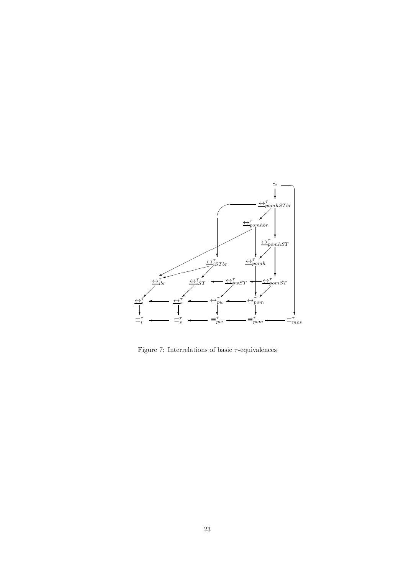

Figure 7: Interrelations of basic  $\tau$ -equivalences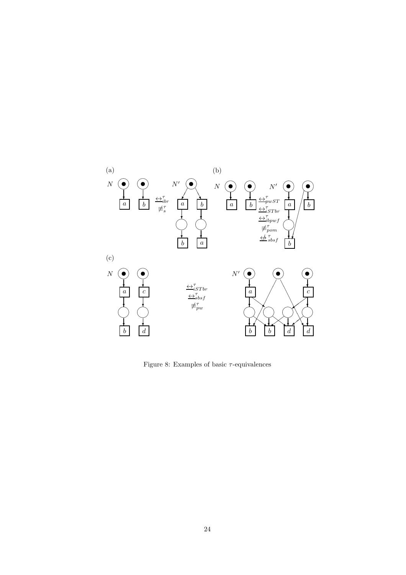

Figure 8: Examples of basic  $\tau$ -equivalences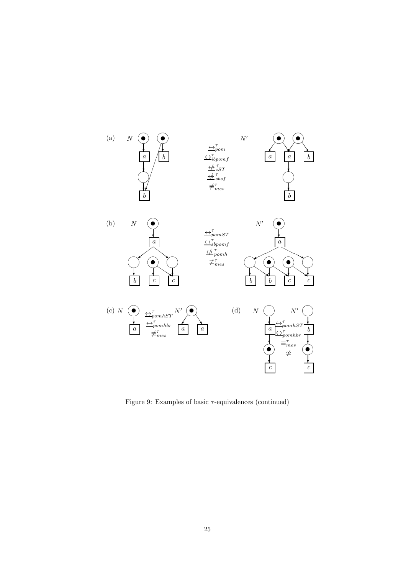

Figure 9: Examples of basic  $\tau$ -equivalences (continued)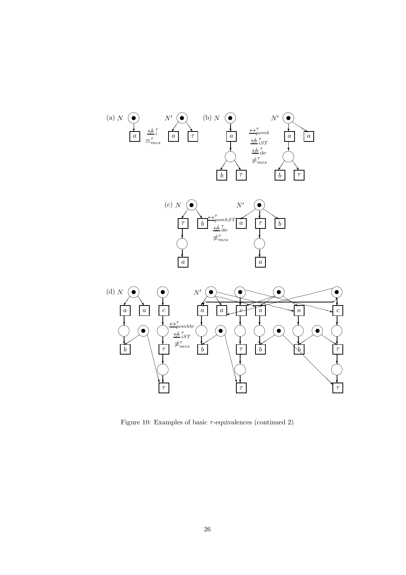

Figure 10: Examples of basic  $\tau$ -equivalences (continued 2)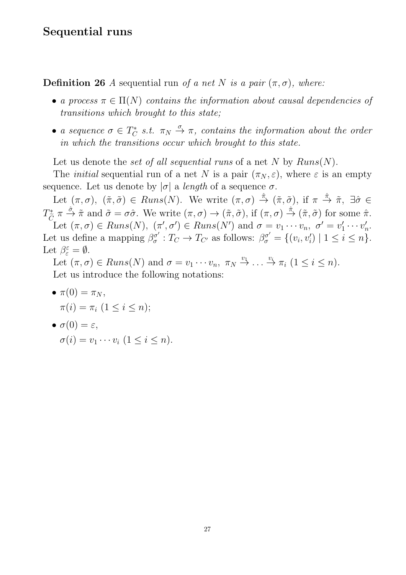#### Sequential runs

**Definition 26** A sequential run of a net N is a pair  $(\pi, \sigma)$ , where:

- a process  $\pi \in \Pi(N)$  contains the information about causal dependencies of transitions which brought to this state;
- a sequence  $\sigma \in T_C^*$  $C^*_{C}$  s.t.  $\pi_N \stackrel{\sigma}{\rightarrow} \pi$ , contains the information about the order in which the transitions occur which brought to this state.

Let us denote the set of all sequential runs of a net N by  $Runs(N)$ .

The *initial* sequential run of a net N is a pair  $(\pi_N, \varepsilon)$ , where  $\varepsilon$  is an empty sequence. Let us denote by  $|\sigma|$  a *length* of a sequence  $\sigma$ .

Let  $(\pi, \sigma)$ ,  $(\tilde{\pi}, \tilde{\sigma}) \in Runs(N)$ . We write  $(\pi, \sigma) \stackrel{\hat{\pi}}{\rightarrow} (\tilde{\pi}, \tilde{\sigma})$ , if  $\pi \stackrel{\hat{\pi}}{\rightarrow} \tilde{\pi}$ ,  $\exists \hat{\sigma} \in$  $T_{\tilde{C}}^* \pi \xrightarrow{\hat{\sigma}} \tilde{\pi}$  and  $\tilde{\sigma} = \sigma \hat{\sigma}$ . We write  $(\pi, \sigma) \to (\tilde{\pi}, \tilde{\sigma})$ , if  $(\pi, \sigma) \xrightarrow{\hat{\pi}} (\tilde{\pi}, \tilde{\sigma})$  for some  $\hat{\pi}$ . Let  $(\pi, \sigma) \in Runs(N), \ (\pi', \sigma') \in Runs(N') \text{ and } \sigma = v_1 \cdots v_n, \ \sigma' = v'_1$  $y'_1 \cdots y'_r$  $_n'$ . Let us define a mapping  $\beta_{\sigma}^{\sigma'}$  $\sigma' : T_C \to T_{C'}$  as follows:  $\beta_{\sigma}^{\sigma'} = \{(v_i, v'_i) \mid 1 \leq i \leq n\}.$ 

Let  $\beta_{\varepsilon}^{\varepsilon} = \emptyset$ . Let  $(\pi,\sigma) \in \mathit{Runs}(N)$  and  $\sigma = v_1 \cdots v_n$ ,  $\pi_N \stackrel{v_1}{\to} \ldots \stackrel{v_i}{\to} \pi_i$   $(1 \leq i \leq n)$ . Let us introduce the following notations:

- $\pi(0) = \pi_N$ ,  $\pi(i) = \pi_i \ (1 \leq i \leq n);$
- $\bullet \ \sigma(0) = \varepsilon,$  $\sigma(i) = v_1 \cdots v_i \ (1 \leq i \leq n).$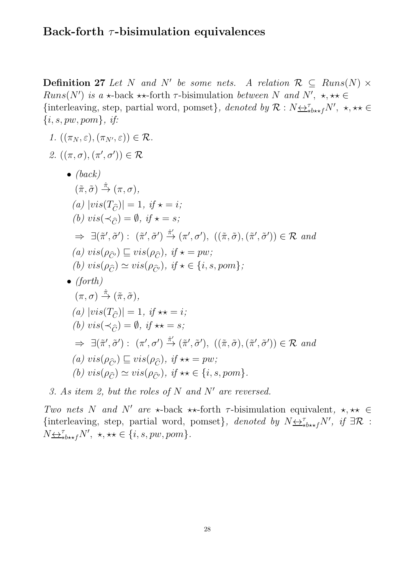### Back-forth  $\tau$ -bisimulation equivalences

**Definition 27** Let N and N' be some nets. A relation  $\mathcal{R} \subseteq Runs(N) \times$ Runs(N') is a  $\star$ -back  $\star\star$ -forth  $\tau$ -bisimulation between N and N',  $\star$ ,  $\star\star \in$ {interleaving, step, partial word, pomset}, denoted by  $\mathcal{R}: N \leftrightarrow \tau_{\text{boxf}} N'$ ,  $\star, \star \star \in$  $\{i, s, pw, pom\}, \textit{if:}$ 

- 1.  $((\pi_N, \varepsilon), (\pi_{N'}, \varepsilon)) \in \mathcal{R}$ . 2.  $((\pi,\sigma),(\pi',\sigma')) \in \mathcal{R}$  $\bullet$  (back)  $(\tilde{\pi}, \tilde{\sigma}) \stackrel{\hat{\pi}}{\rightarrow} (\pi, \sigma),$ (a)  $|vis(T_{\widehat{C}})| = 1, if \star = i;$ (b)  $vis(\prec_{\widehat{c}}) = \emptyset$ , if  $\star = s$ ;
	- $\Rightarrow \exists (\tilde{\pi}', \tilde{\sigma}') : (\tilde{\pi}', \tilde{\sigma}') \stackrel{\hat{\pi}'}{\rightarrow} (\pi', \sigma'), ((\tilde{\pi}, \tilde{\sigma}), (\tilde{\pi}', \tilde{\sigma}')) \in \mathcal{R} \text{ and }$ (a)  $vis(\rho_{\widehat{\alpha}}) \sqsubset vis(\rho_{\widehat{\alpha}}), \text{ if } \star = pw;$ (b)  $vis(\rho_{\widehat{\alpha}}) \simeq vis(\rho_{\widehat{\alpha}})$ , if  $\star \in \{i, s, pom\}$ ;  $\bullet$  (forth)  $(\pi,\sigma)\stackrel{\hat{\pi}}{\rightarrow}(\tilde{\pi},\tilde{\sigma}),$ (a)  $|vis(T_{\widehat{\sigma}})| = 1, if \star\star = i;$ (b)  $vis(\prec_{\widehat{c}}) = \emptyset$ , if  $\star\star = s$ ;  $\Rightarrow \exists (\tilde{\pi}', \tilde{\sigma}') : (\pi', \sigma') \stackrel{\hat{\pi}'}{\rightarrow} (\tilde{\pi}', \tilde{\sigma}'), ((\tilde{\pi}, \tilde{\sigma}), (\tilde{\pi}', \tilde{\sigma}')) \in \mathcal{R} \text{ and }$ (a)  $vis(\rho_{\widehat{C}}) \sqsubseteq vis(\rho_{\widehat{C}})$ , if  $\star\star = pw;$ (b)  $vis(\rho_{\widehat{C}}) \simeq vis(\rho_{\widehat{C}})$ , if  $\star\star \in \{i, s, pom\}.$
- 3. As item 2, but the roles of N and N′ are reversed.

Two nets N and N' are  $\star$ -back  $\star\star$ -forth  $\tau$ -bisimulation equivalent,  $\star, \star\star \in$ {interleaving, step, partial word, pomset}, denoted by  $N \leftrightarrow_N^{\tau} N'$ , if  $\exists \mathcal{R}$ :  $N \underline{\leftrightarrow}^{\tau}_{\star b \star f} N', \star, \star \star \in \{i, s, pw, pom\}.$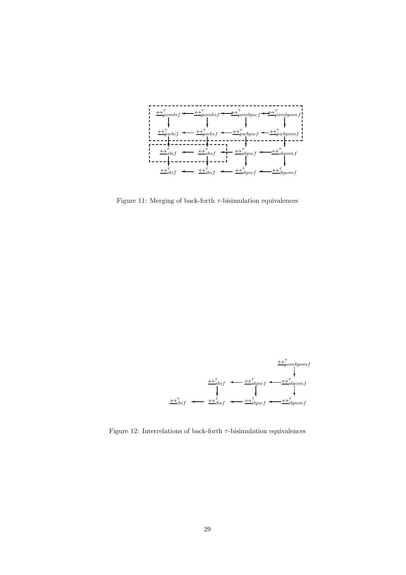

Figure 11: Merging of back-forth  $\tau$ -bisimulation equivalences



Figure 12: Interrelations of back-forth  $\tau$ -bisimulation equivalences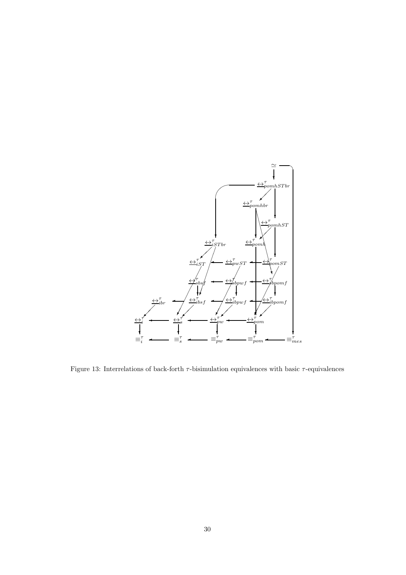

Figure 13: Interrelations of back-forth  $\tau$ -bisimulation equivalences with basic  $\tau$ -equivalences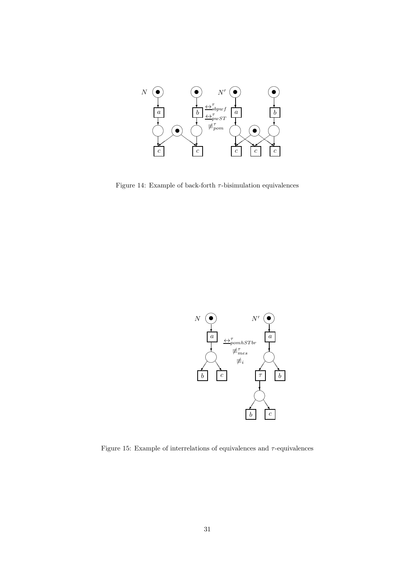

Figure 14: Example of back-forth  $\tau$ -bisimulation equivalences



Figure 15: Example of interrelations of equivalences and  $\tau\text{-equivalence}$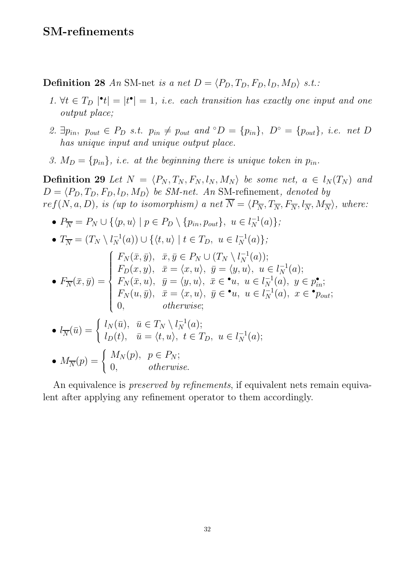**Definition 28** An SM-net is a net  $D = \langle P_D, T_D, F_D, l_D, M_D \rangle$  s.t.:

- 1.  $\forall t \in T_D \mid t \mid = |t^{\bullet}| = 1$ , i.e. each transition has exactly one input and one output place;
- 2.  $\exists p_{in}, p_{out} \in P_D \text{ s.t. } p_{in} \neq p_{out} \text{ and } \circ D = \{p_{in}\}, D^{\circ} = \{p_{out}\}, i.e. \text{ net } D$ has unique input and unique output place.
- 3.  $M_D = \{p_{in}\}\$ , i.e. at the beginning there is unique token in  $p_{in}$ .

**Definition 29** Let  $N = \langle P_N, T_N, F_N, l_N, M_N \rangle$  be some net,  $a \in l_N (T_N)$  and  $D = \langle P_D, T_D, F_D, l_D, M_D \rangle$  be SM-net. An SM-refinement, denoted by  $ref(N, a, D),$  is (up to isomorphism) a net  $\overline{N} = \langle P_{\overline{N}} , T_{\overline{N}} , F_{\overline{N}} , l_{\overline{N}} , M_{\overline{N}} \rangle$ , where:

- $P_{\overline{N}} = P_N \cup \{ \langle p, u \rangle \mid p \in P_D \setminus \{p_{in}, p_{out}\}, u \in l_N^{-1}(a) \};$
- $T_{\overline{N}} = (T_N \setminus l_N^{-1}(a)) \cup \{ \langle t, u \rangle \mid t \in T_D, u \in l_N^{-1}(a) \};$ •  $F_{\overline{N}}(\bar{x}, \bar{y}) =$  $\sqrt{ }$  $\overline{\phantom{a}}$  $\overline{\phantom{a}}$  $F_N(\bar{x}, \bar{y}), \ \ \bar{x}, \bar{y} \in P_N \cup (T_N \setminus l_N^{-1}(a));$  $F_D(x, y), \quad \bar{x} = \langle x, u \rangle, \ \bar{y} = \langle y, u \rangle, \ u \in l_N^{-1}(a);$  $F_N(\bar{x}, u), \ \ \bar{y} = \langle y, u \rangle, \ \ \bar{x} \in \mathbf{L}^{\bullet}u, \ \ u \in l_N^{-1}(a), \ \ y \in p_{in}^{\bullet};$  $F_N(u, \bar{y}), \quad \bar{x} = \langle x, u \rangle, \quad \bar{y} \in \mathbf{P}_u, \quad u \in l_N^{-1}(a), \quad x \in \mathbf{P}_{out};$ 0, otherwise;
- $l_{\overline{N}}(\overline{u}) =$  $\sqrt{ }$  $\mathbf{I}$  $\mathbf{I}$  $l_N(\bar{u}), \ \ \bar{u}\in T_N\setminus l_N^{-1}(a);$  $l_D(t)$ ,  $\bar{u} = \langle t, u \rangle$ ,  $t \in T_D$ ,  $u \in l_N^{-1}(a)$ ;
- $M_{\overline{N}}(p) =$  $\sqrt{ }$  $\mathbf{I}$  $\mathsf{I}$  $M_N(p)$ ,  $p \in P_N$ ; 0, otherwise.

An equivalence is *preserved by refinements*, if equivalent nets remain equivalent after applying any refinement operator to them accordingly.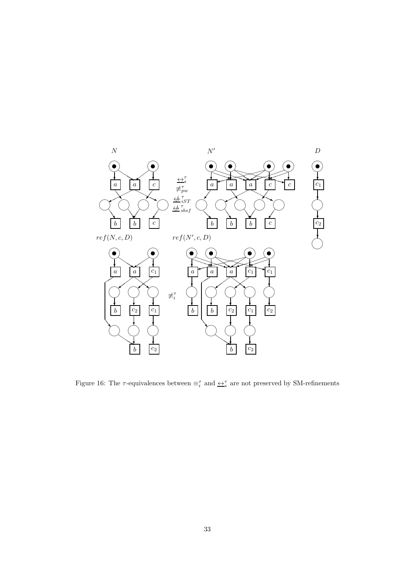

Figure 16: The  $\tau$ -equivalences between  $\equiv_i^{\tau}$  and  $\underline{\leftrightarrow}^{\tau}_s$  are not preserved by SM-refinements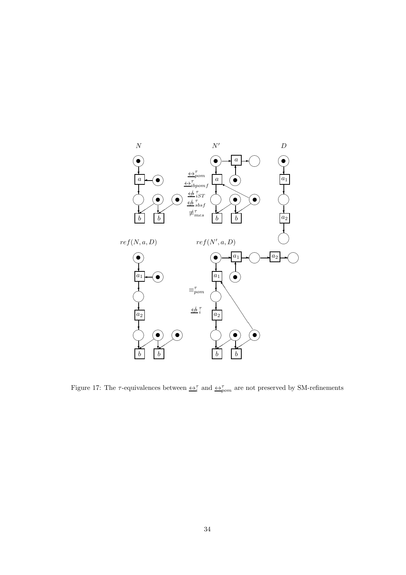

Figure 17: The  $\tau$ -equivalences between  $\leftrightarrow_{i}^{\tau}$  and  $\leftrightarrow_{pom}^{\tau}$  are not preserved by SM-refinements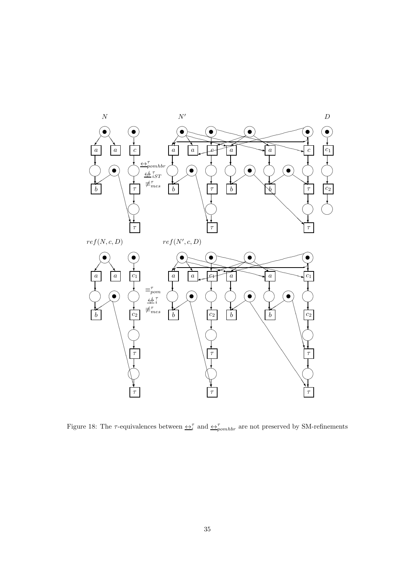

Figure 18: The  $\tau$ -equivalences between  $\underline{\leftrightarrow}^{\tau}_{i}$  and  $\underline{\leftrightarrow}^{\tau}_{pomhbr}$  are not preserved by SM-refinements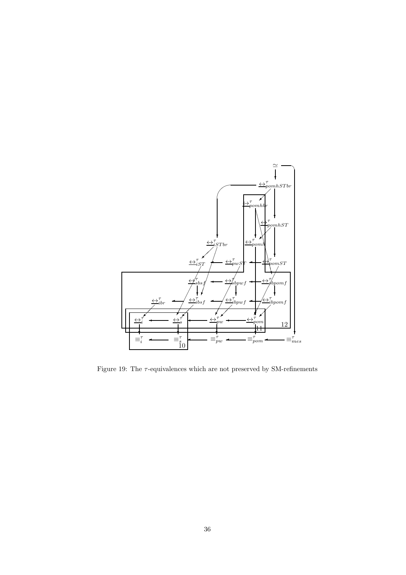

Figure 19: The  $\tau$ -equivalences which are not preserved by SM-refinements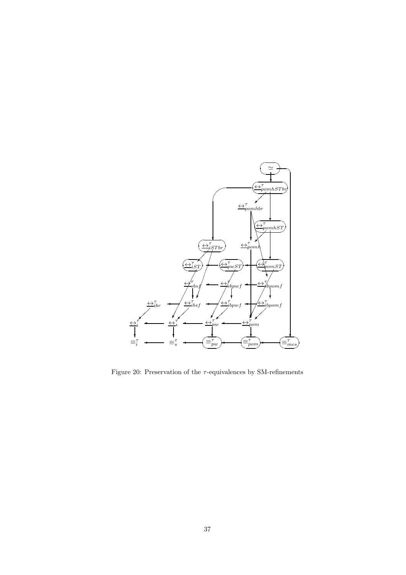

Figure 20: Preservation of the  $\tau\text{-equivalences}$  by SM-refinements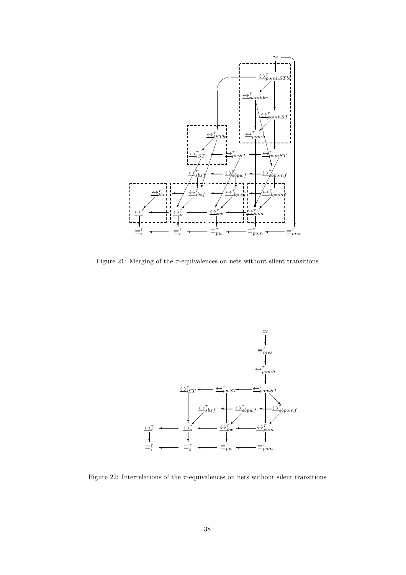

Figure 21: Merging of the  $\tau\text{-equivalence}$  on nets without silent transitions



Figure 22: Interrelations of the  $\tau$ -equivalences on nets without silent transitions